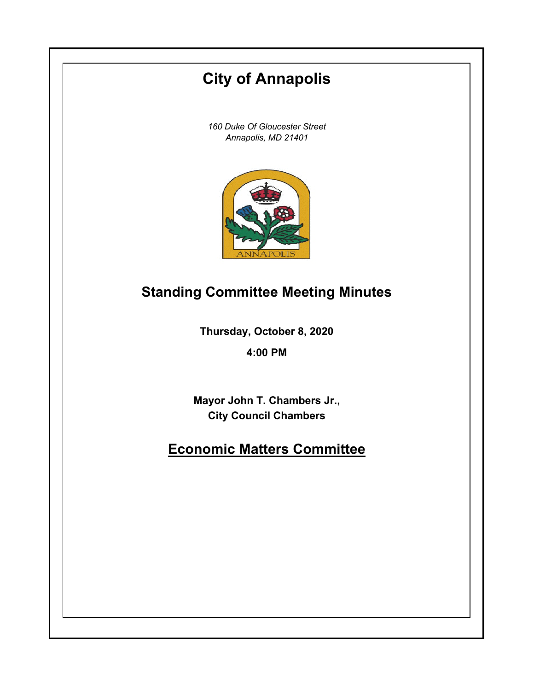# **City of Annapolis**

*160 Duke Of Gloucester Street Annapolis, MD 21401*



## **Standing Committee Meeting Minutes**

**Thursday, October 8, 2020**

**4:00 PM**

**Mayor John T. Chambers Jr., City Council Chambers**

## **Economic Matters Committee**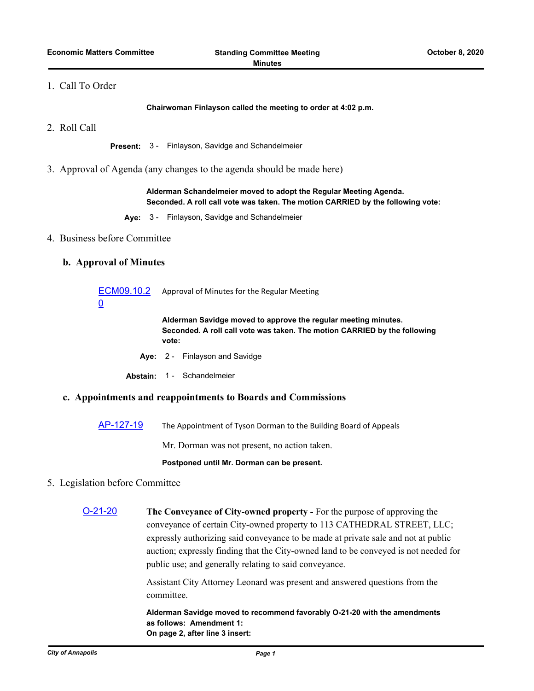## 1. Call To Order

**Chairwoman Finlayson called the meeting to order at 4:02 p.m.**

2. Roll Call

**Present:** 3 - Finlayson, Savidge and Schandelmeier

3. Approval of Agenda (any changes to the agenda should be made here)

**Alderman Schandelmeier moved to adopt the Regular Meeting Agenda. Seconded. A roll call vote was taken. The motion CARRIED by the following vote:**

**Aye:** 3 - Finlayson, Savidge and Schandelmeier

## 4. Business before Committee

## **b. Approval of Minutes**

| ECM09.10.2<br><u>0</u>                                       | Approval of Minutes for the Regular Meeting                                                                                                          |
|--------------------------------------------------------------|------------------------------------------------------------------------------------------------------------------------------------------------------|
|                                                              | Alderman Savidge moved to approve the regular meeting minutes.<br>Seconded. A roll call vote was taken. The motion CARRIED by the following<br>vote: |
|                                                              | Ave: 2 - Finlayson and Savidge                                                                                                                       |
|                                                              | Abstain: 1 - Schandelmeier                                                                                                                           |
| c. Appointments and reappointments to Boards and Commissions |                                                                                                                                                      |
|                                                              |                                                                                                                                                      |

[AP-127-19](http://annapolismd.legistar.com/gateway.aspx?m=l&id=/matter.aspx?key=4441) The Appointment of Tyson Dorman to the Building Board of Appeals

Mr. Dorman was not present, no action taken.

#### **Postponed until Mr. Dorman can be present.**

## 5. Legislation before Committee

[O-21-20](http://annapolismd.legistar.com/gateway.aspx?m=l&id=/matter.aspx?key=4786) **The Conveyance of City-owned property -** For the purpose of approving the conveyance of certain City-owned property to 113 CATHEDRAL STREET, LLC; expressly authorizing said conveyance to be made at private sale and not at public auction; expressly finding that the City-owned land to be conveyed is not needed for public use; and generally relating to said conveyance.

> Assistant City Attorney Leonard was present and answered questions from the committee.

> **Alderman Savidge moved to recommend favorably O-21-20 with the amendments as follows: Amendment 1: On page 2, after line 3 insert:**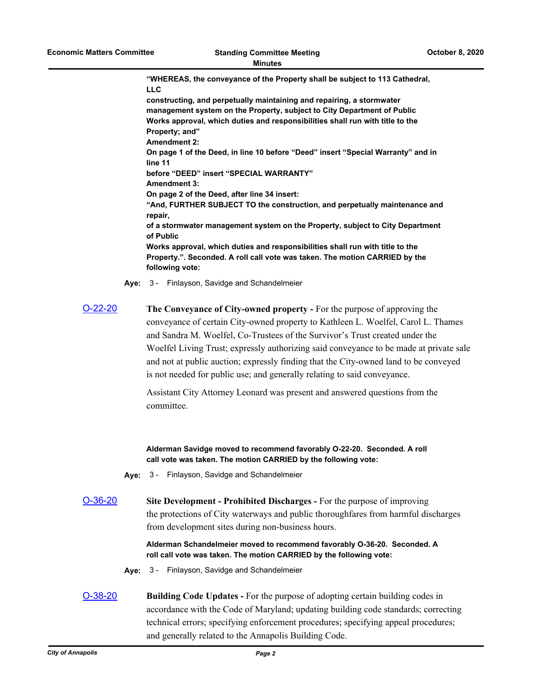**"WHEREAS, the conveyance of the Property shall be subject to 113 Cathedral, LLC constructing, and perpetually maintaining and repairing, a stormwater management system on the Property, subject to City Department of Public Works approval, which duties and responsibilities shall run with title to the Property; and" Amendment 2: On page 1 of the Deed, in line 10 before "Deed" insert "Special Warranty" and in line 11 before "DEED" insert "SPECIAL WARRANTY" Amendment 3: On page 2 of the Deed, after line 34 insert: "And, FURTHER SUBJECT TO the construction, and perpetually maintenance and repair, of a stormwater management system on the Property, subject to City Department of Public Works approval, which duties and responsibilities shall run with title to the Property.". Seconded. A roll call vote was taken. The motion CARRIED by the following vote:**

**Aye:** 3 - Finlayson, Savidge and Schandelmeier

[O-22-20](http://annapolismd.legistar.com/gateway.aspx?m=l&id=/matter.aspx?key=4787) **The Conveyance of City-owned property -** For the purpose of approving the conveyance of certain City-owned property to Kathleen L. Woelfel, Carol L. Thames and Sandra M. Woelfel, Co-Trustees of the Survivor's Trust created under the Woelfel Living Trust; expressly authorizing said conveyance to be made at private sale and not at public auction; expressly finding that the City-owned land to be conveyed is not needed for public use; and generally relating to said conveyance.

> Assistant City Attorney Leonard was present and answered questions from the committee.

**Alderman Savidge moved to recommend favorably O-22-20. Seconded. A roll call vote was taken. The motion CARRIED by the following vote:**

- **Aye:** 3 Finlayson, Savidge and Schandelmeier
- [O-36-20](http://annapolismd.legistar.com/gateway.aspx?m=l&id=/matter.aspx?key=4897) **Site Development Prohibited Discharges** For the purpose of improving the protections of City waterways and public thoroughfares from harmful discharges from development sites during non-business hours.

**Alderman Schandelmeier moved to recommend favorably O-36-20. Seconded. A roll call vote was taken. The motion CARRIED by the following vote:**

- **Aye:** 3 Finlayson, Savidge and Schandelmeier
- [O-38-20](http://annapolismd.legistar.com/gateway.aspx?m=l&id=/matter.aspx?key=4904) **Building Code Updates** For the purpose of adopting certain building codes in accordance with the Code of Maryland; updating building code standards; correcting technical errors; specifying enforcement procedures; specifying appeal procedures; and generally related to the Annapolis Building Code.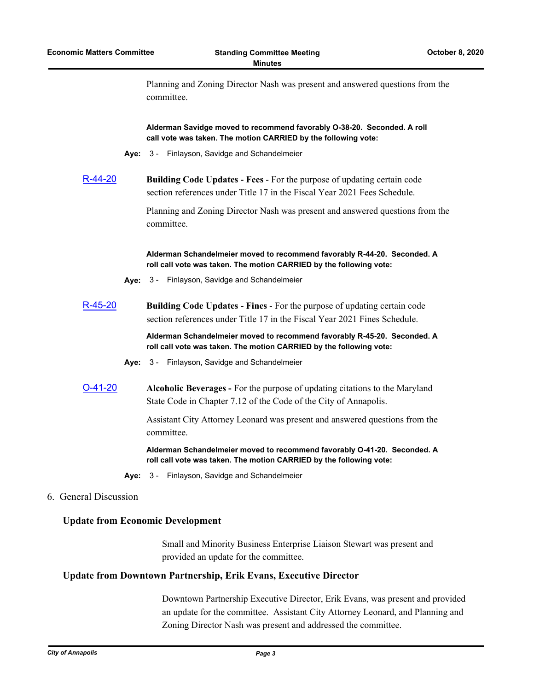Planning and Zoning Director Nash was present and answered questions from the committee.

**Alderman Savidge moved to recommend favorably O-38-20. Seconded. A roll call vote was taken. The motion CARRIED by the following vote:**

**Aye:** 3 - Finlayson, Savidge and Schandelmeier

[R-44-20](http://annapolismd.legistar.com/gateway.aspx?m=l&id=/matter.aspx?key=4906) **Building Code Updates - Fees** - For the purpose of updating certain code section references under Title 17 in the Fiscal Year 2021 Fees Schedule.

> Planning and Zoning Director Nash was present and answered questions from the committee.

**Alderman Schandelmeier moved to recommend favorably R-44-20. Seconded. A roll call vote was taken. The motion CARRIED by the following vote:**

**Aye:** 3 - Finlayson, Savidge and Schandelmeier

[R-45-20](http://annapolismd.legistar.com/gateway.aspx?m=l&id=/matter.aspx?key=4907) **Building Code Updates - Fines** - For the purpose of updating certain code section references under Title 17 in the Fiscal Year 2021 Fines Schedule.

> **Alderman Schandelmeier moved to recommend favorably R-45-20. Seconded. A roll call vote was taken. The motion CARRIED by the following vote:**

- **Aye:** 3 Finlayson, Savidge and Schandelmeier
- [O-41-20](http://annapolismd.legistar.com/gateway.aspx?m=l&id=/matter.aspx?key=4958) **Alcoholic Beverages** For the purpose of updating citations to the Maryland State Code in Chapter 7.12 of the Code of the City of Annapolis.

Assistant City Attorney Leonard was present and answered questions from the committee.

**Alderman Schandelmeier moved to recommend favorably O-41-20. Seconded. A roll call vote was taken. The motion CARRIED by the following vote:**

- **Aye:** 3 Finlayson, Savidge and Schandelmeier
- 6. General Discussion

## **Update from Economic Development**

Small and Minority Business Enterprise Liaison Stewart was present and provided an update for the committee.

### **Update from Downtown Partnership, Erik Evans, Executive Director**

Downtown Partnership Executive Director, Erik Evans, was present and provided an update for the committee. Assistant City Attorney Leonard, and Planning and Zoning Director Nash was present and addressed the committee.